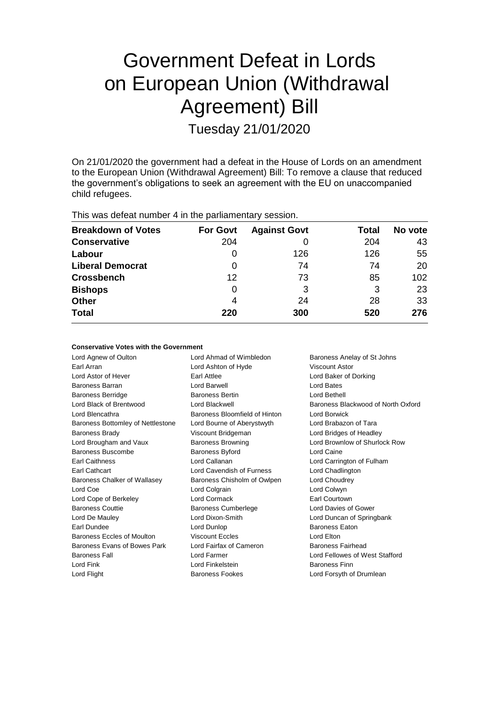# Government Defeat in Lords on European Union (Withdrawal Agreement) Bill

Tuesday 21/01/2020

On 21/01/2020 the government had a defeat in the House of Lords on an amendment to the European Union (Withdrawal Agreement) Bill: To remove a clause that reduced the government's obligations to seek an agreement with the EU on unaccompanied child refugees.

This was defeat number 4 in the parliamentary session.

| <b>Breakdown of Votes</b> | <b>For Govt</b> | <b>Against Govt</b> | Total | No vote |
|---------------------------|-----------------|---------------------|-------|---------|
| <b>Conservative</b>       | 204             |                     | 204   | 43      |
| Labour                    | 0               | 126                 | 126   | 55      |
| <b>Liberal Democrat</b>   | 0               | 74                  | 74    | 20      |
| <b>Crossbench</b>         | 12              | 73                  | 85    | 102     |
| <b>Bishops</b>            | 0               | 3                   | 3     | 23      |
| <b>Other</b>              | 4               | 24                  | 28    | 33      |
| <b>Total</b>              | 220             | 300                 | 520   | 276     |

#### **Conservative Votes with the Government**

| Lord Agnew of Oulton              | Lord Ahmad of Wimbledon       | Baroness Anelay of St Johns        |
|-----------------------------------|-------------------------------|------------------------------------|
| Earl Arran                        | Lord Ashton of Hyde           | Viscount Astor                     |
| Lord Astor of Hever               | Earl Attlee                   | Lord Baker of Dorking              |
| <b>Baroness Barran</b>            | Lord Barwell                  | Lord Bates                         |
| <b>Baroness Berridge</b>          | <b>Baroness Bertin</b>        | Lord Bethell                       |
| Lord Black of Brentwood           | Lord Blackwell                | Baroness Blackwood of North Oxford |
| Lord Blencathra                   | Baroness Bloomfield of Hinton | Lord Borwick                       |
| Baroness Bottomley of Nettlestone | Lord Bourne of Aberystwyth    | Lord Brabazon of Tara              |
| <b>Baroness Brady</b>             | Viscount Bridgeman            | Lord Bridges of Headley            |
| Lord Brougham and Vaux            | <b>Baroness Browning</b>      | Lord Brownlow of Shurlock Row      |
| Baroness Buscombe                 | <b>Baroness Byford</b>        | Lord Caine                         |
| <b>Earl Caithness</b>             | Lord Callanan                 | Lord Carrington of Fulham          |
| Earl Cathcart                     | Lord Cavendish of Furness     | Lord Chadlington                   |
| Baroness Chalker of Wallasey      | Baroness Chisholm of Owlpen   | Lord Choudrey                      |
| Lord Coe                          | Lord Colgrain                 | Lord Colwyn                        |
| Lord Cope of Berkeley             | Lord Cormack                  | Earl Courtown                      |
| <b>Baroness Couttie</b>           | <b>Baroness Cumberlege</b>    | Lord Davies of Gower               |
| Lord De Mauley                    | Lord Dixon-Smith              | Lord Duncan of Springbank          |
| Earl Dundee                       | Lord Dunlop                   | <b>Baroness Eaton</b>              |
| Baroness Eccles of Moulton        | <b>Viscount Eccles</b>        | Lord Elton                         |
| Baroness Evans of Bowes Park      | Lord Fairfax of Cameron       | <b>Baroness Fairhead</b>           |
| <b>Baroness Fall</b>              | Lord Farmer                   | Lord Fellowes of West Stafford     |
| Lord Fink                         | Lord Finkelstein              | <b>Baroness Finn</b>               |
| Lord Flight                       | <b>Baroness Fookes</b>        | Lord Forsyth of Drumlean           |
|                                   |                               |                                    |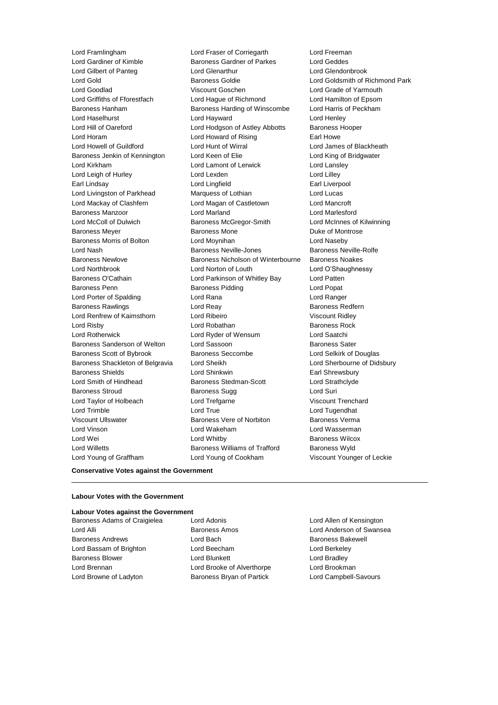Lord Gilbert of Panteg Lord Glenarthur Baroness Scott of Bybrook Baroness Seccombe Lord Young of Graffham Lord Young of Cookham Viscount Younger of Leckie

Lord Framlingham Lord Fraser of Corriegarth Lord Freeman Lord Gardiner of Kimble **Baroness Gardner of Parkes** Lord Geddes<br>
Lord Gilbert of Panteg **Lord Genarthur** Lord Genarthur Lord Glendonbrook Lord Gold Baroness Goldie Lord Goldsmith of Richmond Park Lord Goodlad Viscount Goschen Lord Grade of Yarmouth Lord Griffiths of Fforestfach Lord Hague of Richmond Lord Hamilton of Epsom Baroness Hanham Baroness Harding of Winscombe Lord Harris of Peckham Lord Haselhurst Lord Hayward Lord Henley Lord Hill of Oareford Lord Hodgson of Astley Abbotts Baroness Hooper Lord Horam **Lord Howard of Rising** Earl Howe Lord Howell of Guildford Lord Hunt of Wirral Lord James of Blackheath Baroness Jenkin of Kennington Lord Keen of Elie Lord King of Bridgwater Lord Kirkham Lord Lamont of Lerwick Lord Lansley Lord Leigh of Hurley **Lord Lexden** Lord Lexden **Lord Lilley** Earl Lindsay **Earl Lingfield** Earl Liverpool Lord Livingston of Parkhead Marquess of Lothian Lord Lucas Lord Mackay of Clashfern Lord Magan of Castletown Lord Mancroft Baroness Manzoor Lord Marland Lord Marlesford Lord McColl of Dulwich Baroness McGregor-Smith Lord McInnes of Kilwinning Baroness Meyer **Baroness Mone** Baroness Mone **Duke of Montrose** Baroness Morris of Bolton Lord Moynihan Lord Naseby Lord Nash Baroness Neville-Jones Baroness Neville-Rolfe Baroness Newlove Baroness Nicholson of Winterbourne Baroness Noakes Lord Northbrook Lord Norton of Louth Lord O'Shaughnessy Baroness O'Cathain Lord Parkinson of Whitley Bay Lord Patten Baroness Penn Baroness Pidding Lord Popat Lord Porter of Spalding Lord Rana Lord Ranger Baroness Rawlings **Baroness Redfern** Lord Reay **Baroness Redfern** Lord Renfrew of Kaimsthorn **Lord Ribeiro** Lord Ribeiro Viscount Ridley **Lord Risby Communist Communist Lord Robathan Communist Communist Communist Communist Communist Communist Communist Communist Communist Communist Communist Communist Communist Communist Communist Communist Communist Commun** Lord Rotherwick Lord Ryder of Wensum Lord Saatchi Baroness Sanderson of Welton Lord Sassoon<br>
Baroness Scott of Bybrook Baroness Seccombe<br>
Lord Selkirk of Douglas Baroness Shackleton of Belgravia Lord Sheikh Lord Sherbourne of Didsbury Baroness Shields **Earl Shinkwin** Lord Shinkwin **Earl Shrewsbury** Lord Smith of Hindhead Baroness Stedman-Scott Lord Strathclyde Baroness Stroud Baroness Sugg Lord Suri Lord Taylor of Holbeach **Lord Trefgarne** Lord Trefgarne Viscount Trenchard Lord Trimble Lord True Lord Tugendhat Viscount Ullswater Baroness Vere of Norbiton Baroness Verma Lord Vinson Lord Wakeham Lord Wasserman Lord Wei **Communist Communist Lord Whitby Baroness Wilcox Baroness Wilcox** Lord Willetts **Baroness Williams of Trafford** Baroness Wyld

**Conservative Votes against the Government**

## **Labour Votes with the Government Labour Votes against the Government**

Baroness Andrews **Example 2** Lord Bach Baroness Bakewell Lord Bassam of Brighton Lord Beecham Lord Berkeley Baroness Blower **Lord Blunkett** Lord Bradley **Lord Bradley** Lord Brennan Lord Brooke of Alverthorpe Lord Brookman Lord Browne of Ladyton **Baroness Bryan of Partick** Lord Campbell-Savours

Baroness Adams of Craigielea Lord Adonis Lord Atlen of Kensington

Lord Alli Baroness Amos Lord Anderson of Swansea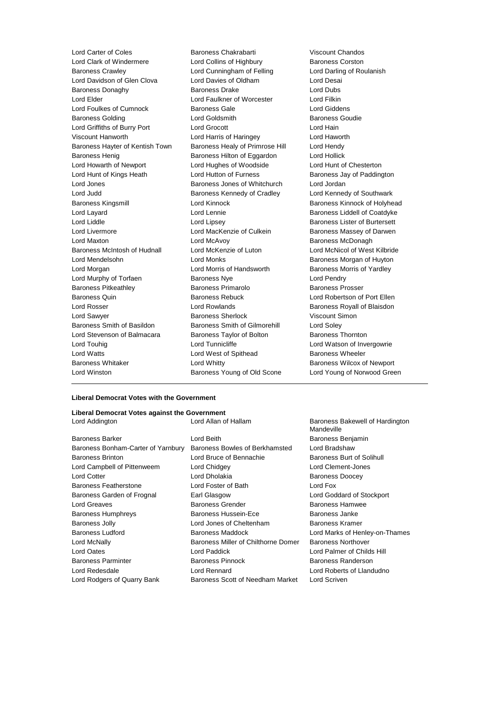Lord Clark of Windermere **Lord Collins of Highbury** Baroness Corston Baroness Crawley Lord Cunningham of Felling Lord Darling of Roulanish Lord Davidson of Glen Clova Lord Davies of Oldham Lord Desai Baroness Donaghy **Baroness Drake** Lord Dubs<br>
Lord Elder Lord Filkin Lord Faulkner of Worcester Lord Filkin Lord Elder **Lord Faulkner of Worcester** Lord Foulkes of Cumnock Baroness Gale Lord Giddens Baroness Golding **Baroness Goudie** Lord Goldsmith **Baroness Goudie Baroness Goudie** Lord Griffiths of Burry Port Lord Grocott Lord Hain Viscount Hanworth Lord Harris of Haringey Lord Haworth Baroness Hayter of Kentish Town Baroness Healy of Primrose Hill Lord Hendy Baroness Henig Baroness Hilton of Eggardon Lord Hollick Lord Howarth of Newport Lord Hughes of Woodside Lord Hunt of Chesterton Lord Hunt of Kings Heath **Lord Hutton of Furness** Baroness Jay of Paddington Lord Jones Baroness Jones of Whitchurch Lord Jordan Lord Judd **Baroness Kennedy of Cradley** Lord Kennedy of Southwark Baroness Kingsmill **Baroness Kinnock Baroness Kinnock baroness** Kinnock of Holyhead Lord Layard **Lord Lennie** Lord Lennie **Baroness Liddell of Coatdyke** Lord Liddle Lord Lipsey Baroness Lister of Burtersett Lord Livermore **Lord MacKenzie of Culkein** Baroness Massey of Darwen Lord Maxton **Lord McAvoy Baroness McDonagh Baroness McDonagh** Baroness McIntosh of Hudnall Lord McKenzie of Luton Lord McNicol of West Kilbride Lord Mendelsohn Lord Monks Baroness Morgan of Huyton Lord Morgan Lord Morris of Handsworth Baroness Morris of Yardley Lord Murphy of Torfaen **Baroness Nye** Lord Pendry Baroness Pitkeathley **Baroness Primarolo** Baroness Prosser Baroness Quin **Baroness Rebuck** Lord Robertson of Port Ellen<br>1999 Lord Robert Lord Rowlands Lord Rowlands Baroness Rovall of Blaisdon Lord Rosser Lord Rowlands Baroness Royall of Blaisdon Lord Sawyer **Baroness Sherlock** Viscount Simon Baroness Smith of Basildon Baroness Smith of Gilmorehill Lord Soley Lord Stevenson of Balmacara Baroness Taylor of Bolton Baroness Thornton Lord Touhig Lord Tunnicliffe Lord Tunnicliffe Lord Watson of Invergowrie Lord Watts **Lord West of Spithead** Baroness Wheeler Baroness Whitaker **Mateur Communist Conditional Lord Whitty** Mateur Baroness Wilcox of Newport Lord Winston Baroness Young of Old Scone Lord Young of Norwood Green

Lord Carter of Coles Baroness Chakrabarti Viscount Chandos

#### **Liberal Democrat Votes with the Government**

### **Liberal Democrat Votes against the Government**

| Baroness Barker                    | Lord Beith                          | Baroness Benjamin                |
|------------------------------------|-------------------------------------|----------------------------------|
| Baroness Bonham-Carter of Yarnbury | Baroness Bowles of Berkhamsted      | Lord Bradshaw                    |
| <b>Baroness Brinton</b>            | Lord Bruce of Bennachie             | <b>Baroness Burt of Solihull</b> |
| Lord Campbell of Pittenweem        | Lord Chidgey                        | Lord Clement-Jones               |
| <b>Lord Cotter</b>                 | Lord Dholakia                       | <b>Baroness Doocey</b>           |
| <b>Baroness Featherstone</b>       | Lord Foster of Bath                 | Lord Fox                         |
| Baroness Garden of Frognal         | Earl Glasgow                        | Lord Goddard of Stockport        |
| Lord Greaves                       | Baroness Grender                    | Baroness Hamwee                  |
| <b>Baroness Humphreys</b>          | Baroness Hussein-Ece                | Baroness Janke                   |
| <b>Baroness Jolly</b>              | Lord Jones of Cheltenham            | <b>Baroness Kramer</b>           |
| Baroness Ludford                   | <b>Baroness Maddock</b>             | Lord Marks of Henley-on-T        |
| Lord McNally                       | Baroness Miller of Chilthorne Domer | <b>Baroness Northover</b>        |
| Lord Oates                         | Lord Paddick                        | Lord Palmer of Childs Hill       |
| <b>Baroness Parminter</b>          | <b>Baroness Pinnock</b>             | Baroness Randerson               |
| Lord Redesdale                     | Lord Rennard                        | Lord Roberts of Llandudno        |
| Lord Rodgers of Quarry Bank        | Baroness Scott of Needham Market    | Lord Scriven                     |

Lord Addington Lord Allan of Hallam Baroness Bakewell of Hardington Mandeville Baroness Doocey Lord Goddard of Stockport Lord Greaves Baroness Grender Baroness Hamwee n-Ece Baroness Janke eltenham Baroness Kramer ck Lord Marks of Henley-on-Thames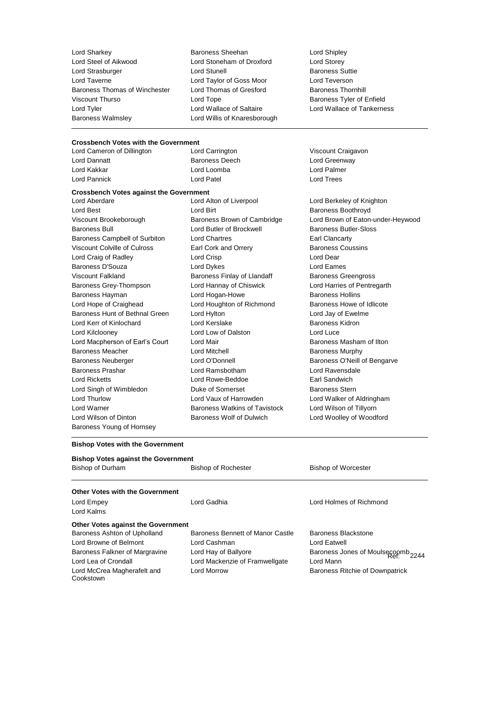Lord Sharkey **Baroness Sheehan** Lord Shipley<br>
Lord Steel of Aikwood **Lord Stoneham of Droxford** Lord Storev Lord Strasburger The Lord Stunell Lord Stunell Baroness Suttient Stunell Baroness Suttient Stune Lord Teverson<br>
Lord Tayerne Corp Lord Taylor of Goss Moor Lord Teverson Lord Taverne Lord Taylor of Goss Moor Lord Teverson Baroness Thomas of Winchester Lord Thomas of Gresford Viscount Thurso **Communist Contact Contact Contact Contact Contact Contact Contact Contact Contact Contact Contact Contact Contact Contact Contact Contact Contact Contact Contact Contact Contact Contact Contact Contact Con** Lord Tyler Lord Wallace of Saltaire Lord Wallace of Tankerness Baroness Walmsley Lord Willis of Knaresborough

Lord Stoneham of Droxford Lord Storey<br>Lord Stunell Lord Stores Baroness Suttie

## **Crossbench Votes with the Government**<br>
Lord Cameron of Dillington<br>
Lord Carrington

Lord Cameron of Dillington **Lord Carrington** Carrington Viscount Craigavon Lord Dannatt **Baroness Deech** Lord Cord Greenway<br>
Lord Kakkar **Cord Lord Lord Lord Lord Barboness**<br>
Lord Kakkar **Cord Lord Lord Lord Act Lord Dalmer** Lord Pannick Lord Patel Lord Trees

Lord Loomba

Lord Best **Configure Baroness Boothroyd**<br>
Uiscount Brookeborough **Baroness Brown of Cambridge** Lord Brown of Eaton-Baroness Bull Lord Butler of Brockwell Baroness Butler-Sloss Baroness Campbell of Surbiton Lord Chartres **Earl Clancarty** Viscount Colville of Culross Earl Cork and Orrery **Earl Constant Collection** Baroness Coussins Lord Craig of Radley Lord Crisp Lord Dear Baroness D'Souza **Lord Dykes** Lord Eames Viscount Falkland **Baroness Finlay of Llandaff** Baroness Greengross Finlay of Llandaff Baroness Grey-Thompson Lord Hannay of Chiswick Lord Harries of Pentregarth Baroness Hayman **Marting Community** Lord Hogan-Howe **Baroness Hollins** Lord Hope of Craighead Lord Houghton of Richmond Baroness Howe of Idlicote Baroness Hunt of Bethnal Green Lord Hylton Lord Jay of Ewelme Lord Kerr of Kinlochard Lord Kerslake Baroness Kidron Lord Kilclooney Lord Low of Dalston Lord Luce Lord Macpherson of Earl's Court Lord Mair **Baroness Masham of Ilton** Baroness Meacher **Lord Mitchell** Lord Mitchell **Baroness Murphy** Baroness Neuberger **Lord O'Donnell** Baroness O'Neill of Bengarve Baroness Prashar Lord Ramsbotham Lord Ravensdale Lord Ricketts Lord Rowe-Beddoe Earl Sandwich Lord Singh of Wimbledon **Duke of Somerset** Baroness Stern Lord Thurlow Lord Vaux of Harrowden Lord Walker of Aldringham Lord Warner **Baroness Watkins of Tavistock** Lord Wilson of Tillyorn Lord Wilson of Dinton Baroness Wolf of Dulwich Lord Woolley of Woodford Baroness Young of Hornsey

**Crossbench Votes against the Government**

Lord Berkeley of Knighton Baroness Brown of Cambridge Lord Brown of Eaton-under-Heywood

#### **Bishop Votes with the Government**

Lord McCrea Magherafelt and

Cookstown

| <b>Bishop Votes against the Government</b> |                                  |                                    |  |  |  |
|--------------------------------------------|----------------------------------|------------------------------------|--|--|--|
|                                            |                                  |                                    |  |  |  |
| <b>Other Votes with the Government</b>     |                                  |                                    |  |  |  |
| Lord Empey                                 | Lord Gadhia                      | Lord Holmes of Richmond            |  |  |  |
| Lord Kalms                                 |                                  |                                    |  |  |  |
| <b>Other Votes against the Government</b>  |                                  |                                    |  |  |  |
| Baroness Ashton of Upholland               | Baroness Bennett of Manor Castle | Baroness Blackstone                |  |  |  |
| Lord Browne of Belmont                     | Lord Cashman                     | Lord Eatwell                       |  |  |  |
| Baroness Falkner of Margravine             | Lord Hay of Ballvore             | Baroness Jones of Moulsecoomb 2244 |  |  |  |
| Lord Lea of Crondall                       | Lord Mackenzie of Framwellgate   | Lord Mann                          |  |  |  |

Lord Morrow Baroness Ritchie of Downpatrick